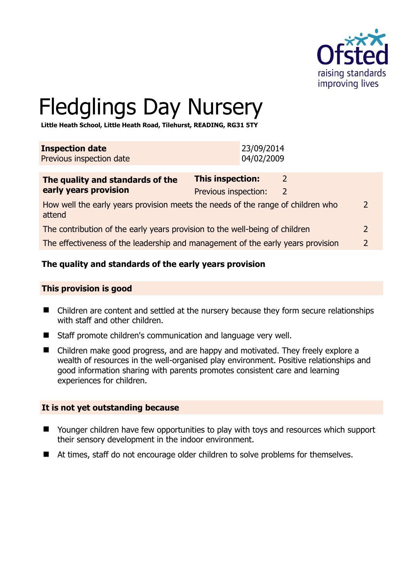

# Fledglings Day Nursery

**Little Heath School, Little Heath Road, Tilehurst, READING, RG31 5TY** 

| 23/09/2014<br>04/02/2009 |
|--------------------------|
|                          |
|                          |

| The quality and standards of the                                                          | <b>This inspection:</b> |   |               |
|-------------------------------------------------------------------------------------------|-------------------------|---|---------------|
| early years provision                                                                     | Previous inspection:    | 2 |               |
| How well the early years provision meets the needs of the range of children who<br>attend |                         |   | $\mathcal{P}$ |
| The contribution of the early years provision to the well-being of children               |                         |   |               |
| The effectiveness of the leadership and management of the early years provision           |                         |   |               |

# **The quality and standards of the early years provision**

#### **This provision is good**

- Children are content and settled at the nursery because they form secure relationships with staff and other children.
- Staff promote children's communication and language very well.
- Children make good progress, and are happy and motivated. They freely explore a wealth of resources in the well-organised play environment. Positive relationships and good information sharing with parents promotes consistent care and learning experiences for children.

#### **It is not yet outstanding because**

- Younger children have few opportunities to play with toys and resources which support their sensory development in the indoor environment.
- At times, staff do not encourage older children to solve problems for themselves.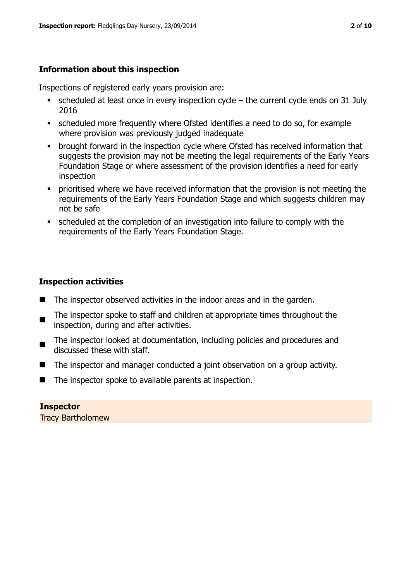# **Information about this inspection**

Inspections of registered early years provision are:

- $\bullet$  scheduled at least once in every inspection cycle the current cycle ends on 31 July 2016
- scheduled more frequently where Ofsted identifies a need to do so, for example where provision was previously judged inadequate
- **•** brought forward in the inspection cycle where Ofsted has received information that suggests the provision may not be meeting the legal requirements of the Early Years Foundation Stage or where assessment of the provision identifies a need for early inspection
- **•** prioritised where we have received information that the provision is not meeting the requirements of the Early Years Foundation Stage and which suggests children may not be safe
- scheduled at the completion of an investigation into failure to comply with the requirements of the Early Years Foundation Stage.

# **Inspection activities**

- $\blacksquare$  The inspector observed activities in the indoor areas and in the garden.
- $\blacksquare$ The inspector spoke to staff and children at appropriate times throughout the inspection, during and after activities.
- $\blacksquare$ The inspector looked at documentation, including policies and procedures and discussed these with staff.
- The inspector and manager conducted a joint observation on a group activity.
- $\blacksquare$  The inspector spoke to available parents at inspection.

# **Inspector**

Tracy Bartholomew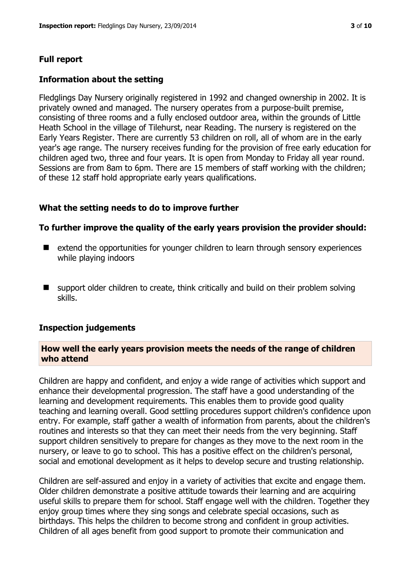#### **Full report**

#### **Information about the setting**

Fledglings Day Nursery originally registered in 1992 and changed ownership in 2002. It is privately owned and managed. The nursery operates from a purpose-built premise, consisting of three rooms and a fully enclosed outdoor area, within the grounds of Little Heath School in the village of Tilehurst, near Reading. The nursery is registered on the Early Years Register. There are currently 53 children on roll, all of whom are in the early year's age range. The nursery receives funding for the provision of free early education for children aged two, three and four years. It is open from Monday to Friday all year round. Sessions are from 8am to 6pm. There are 15 members of staff working with the children; of these 12 staff hold appropriate early years qualifications.

#### **What the setting needs to do to improve further**

#### **To further improve the quality of the early years provision the provider should:**

- extend the opportunities for younger children to learn through sensory experiences while playing indoors
- support older children to create, think critically and build on their problem solving skills.

#### **Inspection judgements**

#### **How well the early years provision meets the needs of the range of children who attend**

Children are happy and confident, and enjoy a wide range of activities which support and enhance their developmental progression. The staff have a good understanding of the learning and development requirements. This enables them to provide good quality teaching and learning overall. Good settling procedures support children's confidence upon entry. For example, staff gather a wealth of information from parents, about the children's routines and interests so that they can meet their needs from the very beginning. Staff support children sensitively to prepare for changes as they move to the next room in the nursery, or leave to go to school. This has a positive effect on the children's personal, social and emotional development as it helps to develop secure and trusting relationship.

Children are self-assured and enjoy in a variety of activities that excite and engage them. Older children demonstrate a positive attitude towards their learning and are acquiring useful skills to prepare them for school. Staff engage well with the children. Together they enjoy group times where they sing songs and celebrate special occasions, such as birthdays. This helps the children to become strong and confident in group activities. Children of all ages benefit from good support to promote their communication and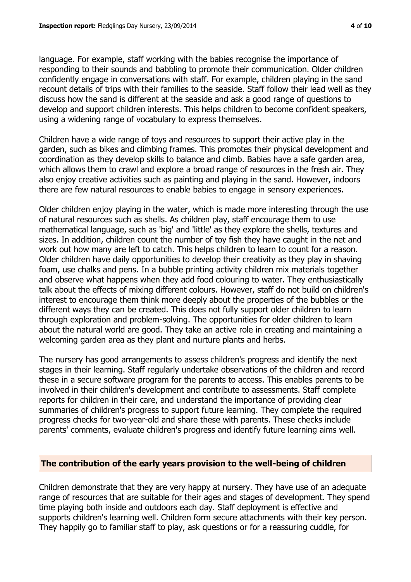language. For example, staff working with the babies recognise the importance of responding to their sounds and babbling to promote their communication. Older children confidently engage in conversations with staff. For example, children playing in the sand recount details of trips with their families to the seaside. Staff follow their lead well as they discuss how the sand is different at the seaside and ask a good range of questions to develop and support children interests. This helps children to become confident speakers, using a widening range of vocabulary to express themselves.

Children have a wide range of toys and resources to support their active play in the garden, such as bikes and climbing frames. This promotes their physical development and coordination as they develop skills to balance and climb. Babies have a safe garden area, which allows them to crawl and explore a broad range of resources in the fresh air. They also enjoy creative activities such as painting and playing in the sand. However, indoors there are few natural resources to enable babies to engage in sensory experiences.

Older children enjoy playing in the water, which is made more interesting through the use of natural resources such as shells. As children play, staff encourage them to use mathematical language, such as 'big' and 'little' as they explore the shells, textures and sizes. In addition, children count the number of toy fish they have caught in the net and work out how many are left to catch. This helps children to learn to count for a reason. Older children have daily opportunities to develop their creativity as they play in shaving foam, use chalks and pens. In a bubble printing activity children mix materials together and observe what happens when they add food colouring to water. They enthusiastically talk about the effects of mixing different colours. However, staff do not build on children's interest to encourage them think more deeply about the properties of the bubbles or the different ways they can be created. This does not fully support older children to learn through exploration and problem-solving. The opportunities for older children to learn about the natural world are good. They take an active role in creating and maintaining a welcoming garden area as they plant and nurture plants and herbs.

The nursery has good arrangements to assess children's progress and identify the next stages in their learning. Staff regularly undertake observations of the children and record these in a secure software program for the parents to access. This enables parents to be involved in their children's development and contribute to assessments. Staff complete reports for children in their care, and understand the importance of providing clear summaries of children's progress to support future learning. They complete the required progress checks for two-year-old and share these with parents. These checks include parents' comments, evaluate children's progress and identify future learning aims well.

# **The contribution of the early years provision to the well-being of children**

Children demonstrate that they are very happy at nursery. They have use of an adequate range of resources that are suitable for their ages and stages of development. They spend time playing both inside and outdoors each day. Staff deployment is effective and supports children's learning well. Children form secure attachments with their key person. They happily go to familiar staff to play, ask questions or for a reassuring cuddle, for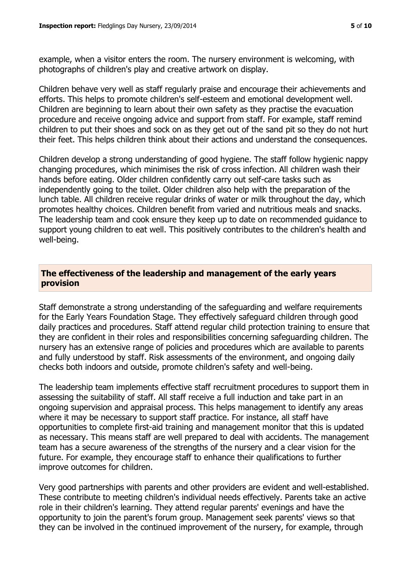example, when a visitor enters the room. The nursery environment is welcoming, with photographs of children's play and creative artwork on display.

Children behave very well as staff regularly praise and encourage their achievements and efforts. This helps to promote children's self-esteem and emotional development well. Children are beginning to learn about their own safety as they practise the evacuation procedure and receive ongoing advice and support from staff. For example, staff remind children to put their shoes and sock on as they get out of the sand pit so they do not hurt their feet. This helps children think about their actions and understand the consequences.

Children develop a strong understanding of good hygiene. The staff follow hygienic nappy changing procedures, which minimises the risk of cross infection. All children wash their hands before eating. Older children confidently carry out self-care tasks such as independently going to the toilet. Older children also help with the preparation of the lunch table. All children receive regular drinks of water or milk throughout the day, which promotes healthy choices. Children benefit from varied and nutritious meals and snacks. The leadership team and cook ensure they keep up to date on recommended guidance to support young children to eat well. This positively contributes to the children's health and well-being.

#### **The effectiveness of the leadership and management of the early years provision**

Staff demonstrate a strong understanding of the safeguarding and welfare requirements for the Early Years Foundation Stage. They effectively safeguard children through good daily practices and procedures. Staff attend regular child protection training to ensure that they are confident in their roles and responsibilities concerning safeguarding children. The nursery has an extensive range of policies and procedures which are available to parents and fully understood by staff. Risk assessments of the environment, and ongoing daily checks both indoors and outside, promote children's safety and well-being.

The leadership team implements effective staff recruitment procedures to support them in assessing the suitability of staff. All staff receive a full induction and take part in an ongoing supervision and appraisal process. This helps management to identify any areas where it may be necessary to support staff practice. For instance, all staff have opportunities to complete first-aid training and management monitor that this is updated as necessary. This means staff are well prepared to deal with accidents. The management team has a secure awareness of the strengths of the nursery and a clear vision for the future. For example, they encourage staff to enhance their qualifications to further improve outcomes for children.

Very good partnerships with parents and other providers are evident and well-established. These contribute to meeting children's individual needs effectively. Parents take an active role in their children's learning. They attend regular parents' evenings and have the opportunity to join the parent's forum group. Management seek parents' views so that they can be involved in the continued improvement of the nursery, for example, through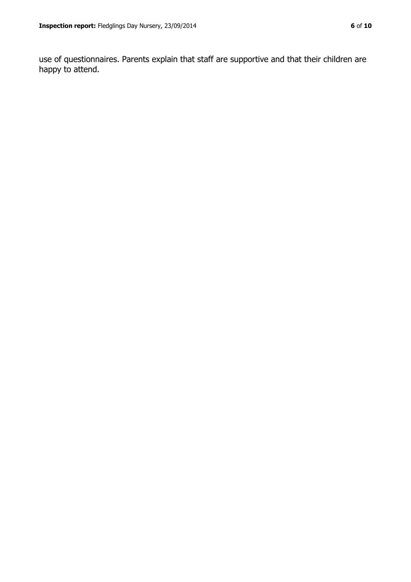use of questionnaires. Parents explain that staff are supportive and that their children are happy to attend.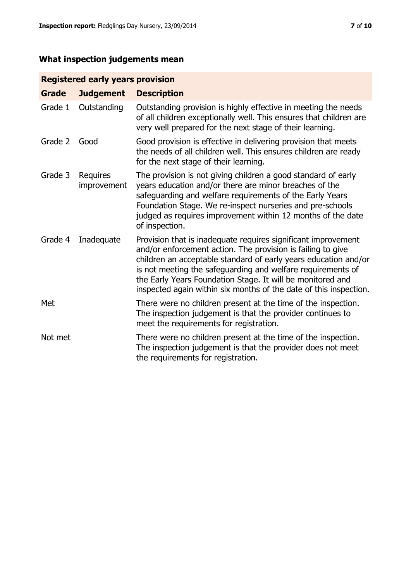# **What inspection judgements mean**

# **Registered early years provision**

| <b>Grade</b> | <b>Judgement</b>        | <b>Description</b>                                                                                                                                                                                                                                                                                                                                                                                |
|--------------|-------------------------|---------------------------------------------------------------------------------------------------------------------------------------------------------------------------------------------------------------------------------------------------------------------------------------------------------------------------------------------------------------------------------------------------|
| Grade 1      | Outstanding             | Outstanding provision is highly effective in meeting the needs<br>of all children exceptionally well. This ensures that children are<br>very well prepared for the next stage of their learning.                                                                                                                                                                                                  |
| Grade 2      | Good                    | Good provision is effective in delivering provision that meets<br>the needs of all children well. This ensures children are ready<br>for the next stage of their learning.                                                                                                                                                                                                                        |
| Grade 3      | Requires<br>improvement | The provision is not giving children a good standard of early<br>years education and/or there are minor breaches of the<br>safeguarding and welfare requirements of the Early Years<br>Foundation Stage. We re-inspect nurseries and pre-schools<br>judged as requires improvement within 12 months of the date<br>of inspection.                                                                 |
| Grade 4      | Inadequate              | Provision that is inadequate requires significant improvement<br>and/or enforcement action. The provision is failing to give<br>children an acceptable standard of early years education and/or<br>is not meeting the safeguarding and welfare requirements of<br>the Early Years Foundation Stage. It will be monitored and<br>inspected again within six months of the date of this inspection. |
| Met          |                         | There were no children present at the time of the inspection.<br>The inspection judgement is that the provider continues to<br>meet the requirements for registration.                                                                                                                                                                                                                            |
| Not met      |                         | There were no children present at the time of the inspection.<br>The inspection judgement is that the provider does not meet<br>the requirements for registration.                                                                                                                                                                                                                                |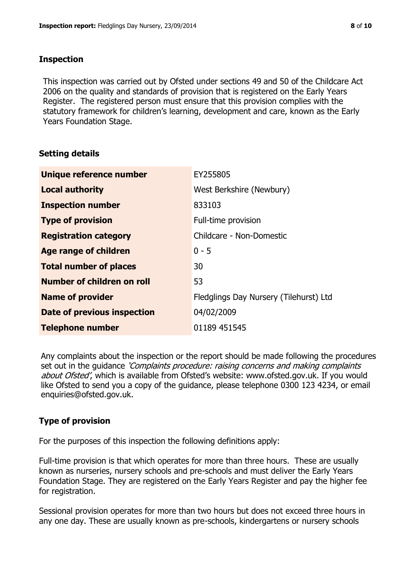### **Inspection**

This inspection was carried out by Ofsted under sections 49 and 50 of the Childcare Act 2006 on the quality and standards of provision that is registered on the Early Years Register. The registered person must ensure that this provision complies with the statutory framework for children's learning, development and care, known as the Early Years Foundation Stage.

# **Setting details**

| Unique reference number            | EY255805                               |
|------------------------------------|----------------------------------------|
| <b>Local authority</b>             | West Berkshire (Newbury)               |
| <b>Inspection number</b>           | 833103                                 |
| <b>Type of provision</b>           | Full-time provision                    |
| <b>Registration category</b>       | Childcare - Non-Domestic               |
| Age range of children              | $0 - 5$                                |
| <b>Total number of places</b>      | 30                                     |
| Number of children on roll         | 53                                     |
| <b>Name of provider</b>            | Fledglings Day Nursery (Tilehurst) Ltd |
| <b>Date of previous inspection</b> | 04/02/2009                             |
| <b>Telephone number</b>            | 01189 451545                           |

Any complaints about the inspection or the report should be made following the procedures set out in the guidance *'Complaints procedure: raising concerns and making complaints* about Ofsted', which is available from Ofsted's website: www.ofsted.gov.uk. If you would like Ofsted to send you a copy of the guidance, please telephone 0300 123 4234, or email enquiries@ofsted.gov.uk.

# **Type of provision**

For the purposes of this inspection the following definitions apply:

Full-time provision is that which operates for more than three hours. These are usually known as nurseries, nursery schools and pre-schools and must deliver the Early Years Foundation Stage. They are registered on the Early Years Register and pay the higher fee for registration.

Sessional provision operates for more than two hours but does not exceed three hours in any one day. These are usually known as pre-schools, kindergartens or nursery schools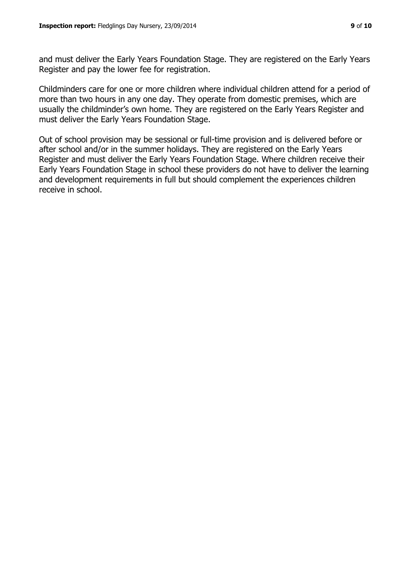and must deliver the Early Years Foundation Stage. They are registered on the Early Years Register and pay the lower fee for registration.

Childminders care for one or more children where individual children attend for a period of more than two hours in any one day. They operate from domestic premises, which are usually the childminder's own home. They are registered on the Early Years Register and must deliver the Early Years Foundation Stage.

Out of school provision may be sessional or full-time provision and is delivered before or after school and/or in the summer holidays. They are registered on the Early Years Register and must deliver the Early Years Foundation Stage. Where children receive their Early Years Foundation Stage in school these providers do not have to deliver the learning and development requirements in full but should complement the experiences children receive in school.